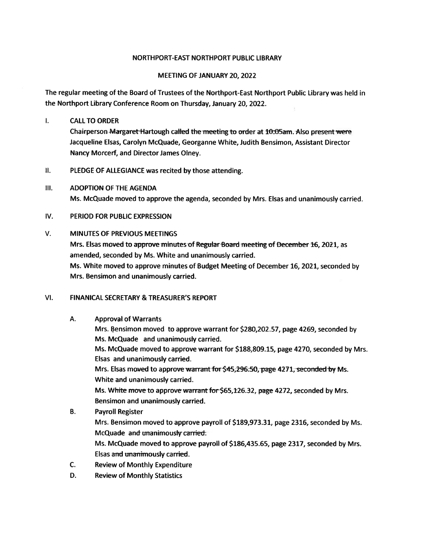#### NORTHPORT-EAST NORTHPORT PUBLIC LIBRARY

#### MEETING OF JANUARY 20, 2022

The regular meeting of the Board of Trustees of the Northport-East Northport Public Library was held in the Northport Library Conference Room on Thursday, January 20, 2022.

#### $\mathbf{L}$ CALLTO ORDER

Chairperson Margaret-Hartough called the meeting to order at  $10:05$ am. Also present were Jacqueline Elsas, Carolyn McQuade, Georganne White, Judith Bensimon, Assistant Director Nancy Morcerf, and Director James Olney.

- II. PLEDGE OF ALLEGIANCE was recited by those attending.
- Ill. ADOPTION OF THE AGENDA Ms. McQuade moved to approve the agenda, seconded by Mrs. Elsas and unanimously carried.

#### IV. PERIOD FOR PUBLIC EXPRESSION

#### V. MINUTES OF PREVIOUS MEETINGS

Mrs. Elsas moved to approve minutes of Regular Board meeting of December 16, 2021, as amended, seconded by Ms. White and unanimously carried. Ms. White moved to approve minutes of Budget Meeting of December 16, 2021, seconded by

Mrs. Bensimon and unanimously carried.

#### VI. FINANICAL SECRETARY & TREASURER'S REPORT

#### A. Approval of Warrants

- Mrs. Bensimon moved to approve warrant for \$280,202.57, page 4269, seconded by Ms. McQuade and unanimously carried. Ms. McQuade moved to approve warrant for \$188,809.15, page 4270, seconded by Mrs. Elsas and unanimously carried. Mrs. Elsas moved to approve warrant for \$45,296.50, page 4271, seconded by Ms. White and unanimously carried. Ms. White move to approve warrant for \$65,126.32, page 4272, seconded by Mrs. Bensimon and unanimously carried. B. Payroll Register
- Mrs. Bensimon moved to approve payroll of \$189,973.31, page 2316, seconded by Ms. McQuade and unanimously carried. Ms. McQuade moved to approve payroll of \$186,435.65, page 2317, seconded by Mrs. Elsas and unammously carried.
- C. Review of Monthly Expenditure
- D. Review of Monthly Statistics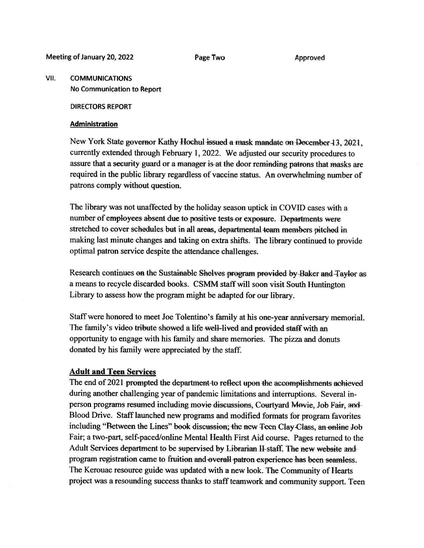Meeting of January 20, 2022 Page Two Approved

#### VII. COMMUNICATIONS No Communication to Report

#### DIRECTORS REPORT

#### Administration

New York State governor Kathy Hochul issued a mask mandate on December 13, 2021, currently extended through February 1, 2022. We adjusted our security procedures to assure that <sup>a</sup> security guar<sup>d</sup> or <sup>a</sup> manager is at the door reminding patrons that masks are required in the public library regardless of vaccine status. An overwhelming number of patrons comply without question.

The library was not unaffected by the holiday season uptick in COVID cases with <sup>a</sup> number of employees absent due to positive tests or exposure. Departments were stretched to cover schedules but in all areas, departmental team members pitched in making last minute changes and taking on extra shifts. The library continued to provide optimal patron service despite the attendance challenges.

Research continues on the Sustainable Shelves program provided by Baker and Taylor as <sup>a</sup> means to recycle discarded books. CSMM staff will soon visit South Huntington Library to assess how the program might be adapted for our library.

Staff were honored to meet Joe Tolentino's family at his one-year anniversary memorial. The family's video tribute showed <sup>a</sup> life well—lived and provided staff with an opportunity to engage with his family and share memories. The <sup>p</sup>izza and donuts donated by his family were appreciated by the staff.

#### Adult and Teen Services

The end of <sup>2021</sup> prompted the department to reflect upon the accomplishments achieved during another challenging year of pandemic limitations and interruptions. Several inperson programs resumed including movie discussions, Courtyard Movie, Job Fair, and Blood Drive. Staff launched new programs and modified formats for program favorites including "Between the Lines" book discussion; the new Teen Clay-Class, an online Job Fair; <sup>a</sup> two-part, self-paced/online Mental Health First Aid course. Pages returned to the Adult Services department to be supervised by Librarian H- staff. The new website and program registration came to fruition and overall patron experience has been seamless. The Kerouac resource guide was updated with <sup>a</sup> new look. The Community of Hearts project was a resounding success thanks to staff teamwork and community support. Teen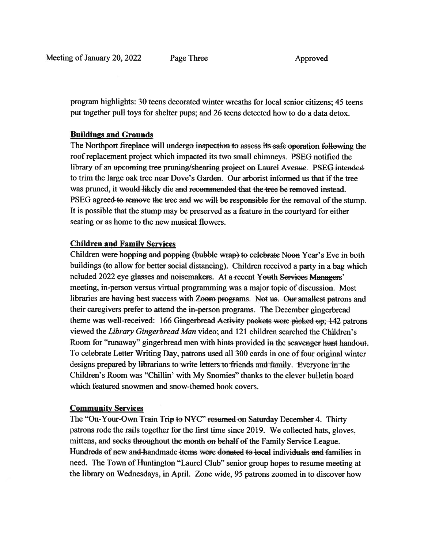program highlights: 30 teens decorated winter wreaths for local senior citizens; 45 teens pu<sup>t</sup> together pull toys for shelter pups; and 26 teens detected how to do <sup>a</sup> data detox.

#### Buildings and Grounds

The Northport fireplace will undergo inspection to assess its-safe operation following the roof replacement project which impacted its two small chimneys. PSEG notified the library of an upcoming tree pruning/shearing project on Laurel Avenue. PSEG intended to trim the large oak tree near Dove's Garden. Our arborist informed us that if the tree was pruned, it would likely die and recommended that the tree be removed instead. PSEG agreed-to remove the tree and we will be responsible for the removal of the stump. It is possible that the stump may be preserved as <sup>a</sup> feature in the courtyard for either seating or as home to the new musical flowers.

#### Children and Family Services

Children were hopping and popping (bubble wrap) to celebrate Noon Year's Eve in both buildings (to allow for better social distancing). Children received <sup>a</sup> party in <sup>a</sup> bag which ncluded 2022 eye glasses and noisemakers. At a recent Youth Services Managers' meeting, in-person versus virtual programming was <sup>a</sup> major topic of discussion. Most libraries are having best success with Zoom programs. Not us. Our smallest patrons and their caregivers prefer to attend the in-person programs. The December <sup>g</sup>ingerbread theme was well-received: 166 Gingerbread Activity packets were picked up; 142 patrons viewed the Library Gingerbread Man video; and 121 children searched the Children's Room for "runaway" gingerbread men with hints provided in the scavenger hunt handout. To celebrate Letter Writing Day, patrons used all 300 cards in one of four original winter designs prepared by librarians to write letters to friends and family. Everyone in the Children's Room was "Chillin' with My Snomies" thanks to the clever bulletin board which featured snowmen and snow-themed book covers.

#### Community Services

The "On-Your-Own Train Trip to NYC" resumed-on Saturday December-4. Thirty patrons rode the rails together for the first time since 2019. We collected hats, <sup>g</sup>loves, mittens, and socks throughout the month on behalf of the Family Service League. Hundreds of new and handmade items were donated 4o local individuals and families in need. The Town of Huntington "Laurel Club" senior group hopes to resume meeting at the library on Wednesdays, in April. Zone wide, 95 patrons zoomed in to discover how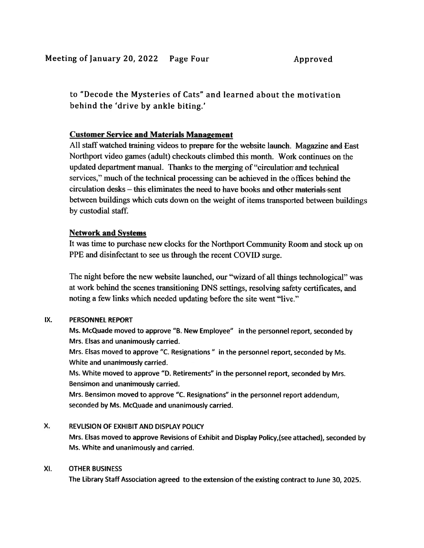to "Decode the Mysteries of Cats" and learned about the motivation behind the 'drive by ankle biting.'

#### Customer Service and Materials Management

All staff watched training videos to prepare for the website launch. Magazine and East Northport video games (adult) checkouts climbed this month. Work continues on the updated department manual. Thanks to the merging of "circulation- and technical services," much of the technical processing can be achieved in the offices behind the circulation desks — this eliminates the need to have books and other materials-sent between buildings which cuts down on the weight of items transported between buildings by custodial staff.

#### Network and Systems

It was time to purchase new clocks for the Northport Community Room and stock up on PPE and disinfectant to see us through the recent COVID surge.

The night before the new website launched, our "wizard of all things technological" was at work behind the scenes transitioning DNS settings, resolving safety certificates, and noting a few links which needed updating before the site went "live."

#### IX. PERSONNEL REPORT

Ms. McQuade moved to approve "B. New Employee" in the personne<sup>l</sup> report, seconded by Mrs. Elsas and unanimously carried.

Mrs. Elsas moved to approve "C. Resignations" in the personnel report, seconded by Ms. White and unanimously carried.

Ms. White moved to approve "D. Retirements" in the personne<sup>l</sup> report, seconded by Mrs. Bensimon and unanimously carried.

Mrs. Bensimon moved to approve "C. Resignations" in the personne<sup>l</sup> repor<sup>t</sup> addendum, seconded by Ms. McQuade and unanimously carried.

#### X. REVLISION OF EXHIBIT AND DISPLAY POLICY Mrs. Elsas moved to approve Revisions of Exhibit and Display PoIicy,(see attached), seconded by Ms. White and unanimously and carried.

#### XI. OTHER BUSINESS

The Library Staff Association agreed to the extension of the existing contract to June 30, 2025.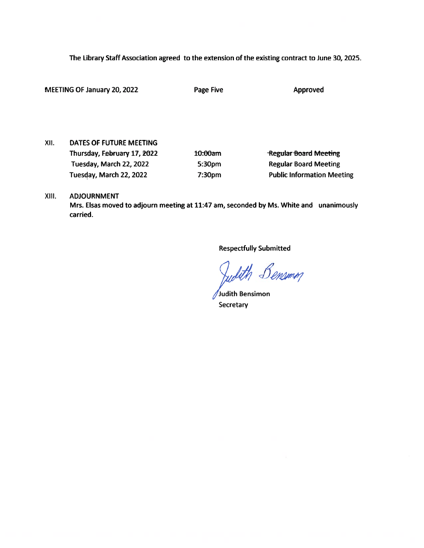The Library Staff Association agreed to the extension of the existing contract to June 30, 2025.

| MEETING OF January 20, 2022 |                             | Page Five          | Approved                          |
|-----------------------------|-----------------------------|--------------------|-----------------------------------|
|                             |                             |                    |                                   |
|                             |                             |                    |                                   |
| XII.                        | DATES OF FUTURE MEETING     |                    |                                   |
|                             | Thursday, February 17, 2022 | 10:00am            | Regular Board Meeting             |
|                             | Tuesday, March 22, 2022     | 5:30 <sub>pm</sub> | <b>Regular Board Meeting</b>      |
|                             | Tuesday, March 22, 2022     | 7:30pm             | <b>Public Information Meeting</b> |

#### XIII. ADJOURNMENT

Mrs. Elsas moved to adjourn meeting at 11:47 am, seconded by Ms. White and unanimously carried.

Respectfully Submitted

Judith Bensimm

Judith Bensimon **Secretary**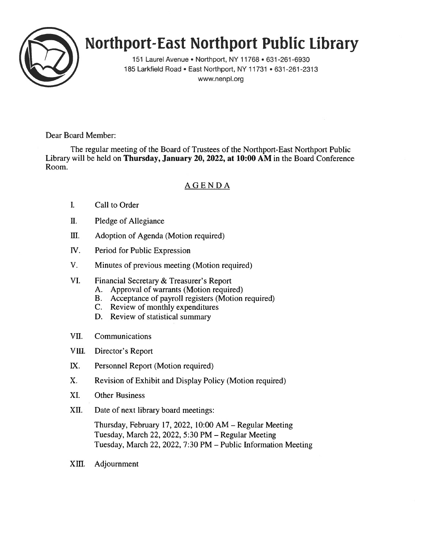

# Northport-East Northport Public library

151 Laurel Avenue • Northport, NY 11768 • 631 -261 -6930 185 Larkfield Road • East Northport, NY 11731 • 631-261-2313 www.nenpl.org

Dear Board Member:

The regular meeting of the Board of Trustees of the Northport-East Northport Public Library will be held on Thursday, January 20, 2022, at 10:00 AM in the Board Conference Room.

#### AGENDA

- I. Call to Order
- II. Pledge of Allegiance
- III. Adoption of Agenda (Motion required)
- IV. Period for Public Expression
- V. Minutes of previous meeting (Motion required)
- VI. Financial Secretary & Treasurer's Report
	- A. Approval of warrants (Motion required)
	- B. Acceptance of payroll registers (Motion required)
	- C. Review of monthly expenditures
	- D. Review of statistical summary
- VII. Communications
- VIII. Director's Report
- LX. Personnel Report (Motion required)
- X. Revision of Exhibit and Display Policy (Motion required)
- XI. Other Business
- XII. Date of next library board meetings:

Thursday, February 17, 2022, 10:00 AM — Regular Meeting Tuesday, March 22, 2022, 5:30 PM — Regular Meeting Tuesday, March 22, 2022, 7:30 PM — Public Information Meeting

XIII. Adjournment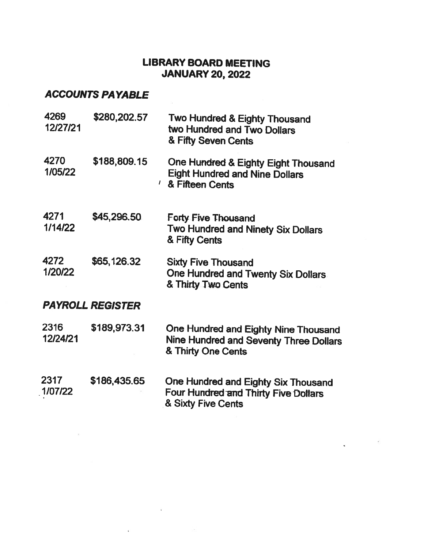## LIBRARY BOARD MEETING JANUARY 20, 2022

 $\sim$   $\sim$ 

# ACCOUNTS PAYABLE

 $\frac{1}{\left( \frac{1}{\alpha} \right)}$ 

| 4269<br>12/27/21        | \$280,202.57 | Two Hundred & Eighty Thousand<br>two Hundred and Two Dollars<br>& Fifty Seven Cents                          |  |  |  |
|-------------------------|--------------|--------------------------------------------------------------------------------------------------------------|--|--|--|
| 4270<br>1/05/22         | \$188,809.15 | One Hundred & Eighty Eight Thousand<br><b>Eight Hundred and Nine Dollars</b><br><sup>1</sup> & Fifteen Cents |  |  |  |
| 4271<br>1/14/22         | \$45,296.50  | <b>Forty-Five Thousand</b><br>Two Hundred and Ninety Six Dollars<br>& Fifty Cents                            |  |  |  |
| 4272<br>1/20/22         | \$65,126.32  | <b>Sixty Five Thousand</b><br><b>One Hundred and Twenty Six Dollars</b><br>& Thirty Two Cents                |  |  |  |
| <b>PAYROLL REGISTER</b> |              |                                                                                                              |  |  |  |
| 2316<br>12/24/21        | \$189,973.31 | One Hundred and Eighty Nine Thousand<br>Nine Hundred and Seventy Three Dollars<br>& Thirty One Cents         |  |  |  |
| 2317<br>1/07/22         | \$186,435.65 | One Hundred and Eighty Six Thousand<br>Four Hundred and Thirty Five Dollars<br>& Sixty Five Cents            |  |  |  |

**Report Follows** 

 $\mathcal{M}$ 

 $\hat{\mathbf{z}}$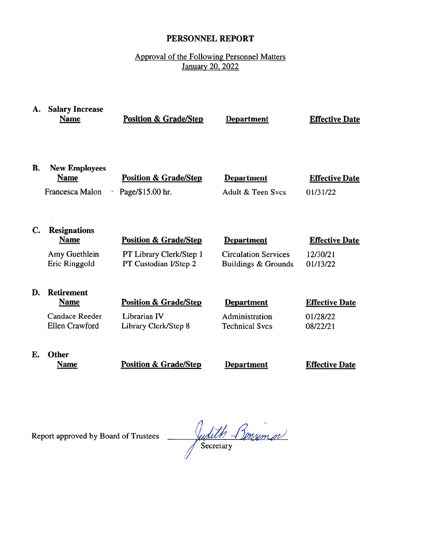#### PERSONNEL REPORT

### Approval of the Following Personnel Matters January 20, 2022

| А. | <b>Salary Increase</b><br><b>Name</b>                                              | <b>Position &amp; Grade/Step</b>                                                     | <b>Department</b>                                                       | <b>Effective Date</b>                         |
|----|------------------------------------------------------------------------------------|--------------------------------------------------------------------------------------|-------------------------------------------------------------------------|-----------------------------------------------|
| В. | <b>New Employees</b><br><b>Name</b><br>Francesca Malon                             | <b>Position &amp; Grade/Step</b><br>Page/\$15.00 hr.                                 | <b>Department</b><br>Adult & Teen Sycs                                  | <b>Effective Date</b><br>01/31/22             |
| C. | <b>Resignations</b><br><b>Name</b><br>Amy Guethlein<br>Eric Ringgold               | <b>Position &amp; Grade/Step</b><br>PT Library Clerk/Step 1<br>PT Custodian I/Step 2 | <b>Department</b><br><b>Circulation Services</b><br>Buildings & Grounds | <b>Effective Date</b><br>12/30/21<br>01/13/22 |
| D. | <b>Retirement</b><br><b>Name</b><br><b>Candace Reeder</b><br><b>Ellen Crawford</b> | <b>Position &amp; Grade/Step</b><br>Librarian IV<br>Library Clerk/Step 8             | <b>Department</b><br>Administration<br><b>Technical Svcs</b>            | <b>Effective Date</b><br>01/28/22<br>08/22/21 |
| E. | <b>Other</b><br><b>Name</b>                                                        | <b>Position &amp; Grade/Step</b>                                                     | <b>Department</b>                                                       | <b>Effective Date</b>                         |

Report approved by Board of Trustees

Judith Bonsimon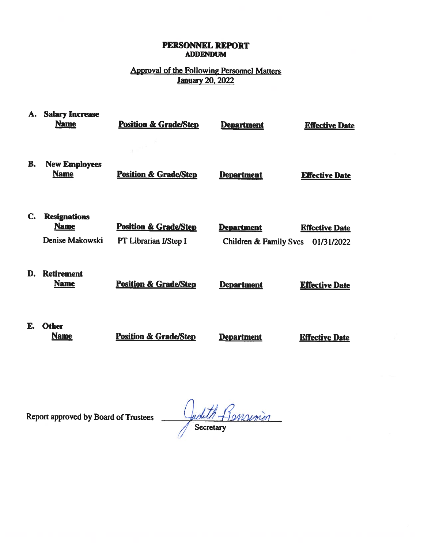#### PERSONNEL REPORT ADDENDUM

### Approval of the Following Personnel Matters January 20, 2022

| А. | <b>Salary Increase</b><br><b>Name</b>                 | <b>Position &amp; Grade/Step</b>                          | <b>Department</b>                           | <b>Effective Date</b>               |
|----|-------------------------------------------------------|-----------------------------------------------------------|---------------------------------------------|-------------------------------------|
| B. | <b>New Employees</b><br><b>Name</b>                   | <b>Position &amp; Grade/Step</b>                          | <b>Department</b>                           | <b>Effective Date</b>               |
| C. | <b>Resignations</b><br><b>Name</b><br>Denise Makowski | <b>Position &amp; Grade/Step</b><br>PT Librarian I/Step I | <b>Department</b><br>Children & Family Svcs | <b>Effective Date</b><br>01/31/2022 |
| D. | <b>Retirement</b><br><b>Name</b>                      | <b>Position &amp; Grade/Step</b>                          | <b>Department</b>                           | <b>Effective Date</b>               |
| E. | <b>Other</b><br><b>Name</b>                           | <b>Position &amp; Grade/Step</b>                          | <b>Department</b>                           | <b>Effective Date</b>               |

Report approved by Board of Trustees

Judith Remsimen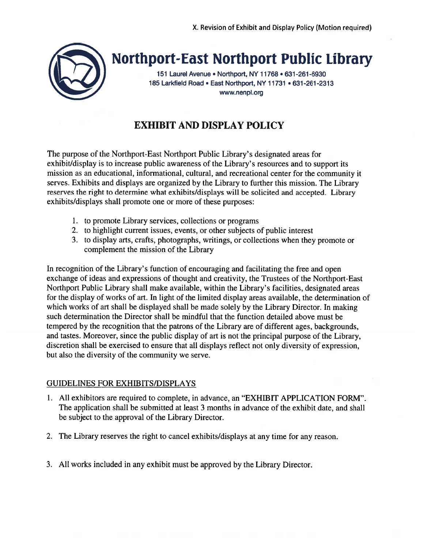

# Northport-East Northport Public Library

151 Laurel Avenue • Northport, NY 11768 • 631-261-6930 185 Larkfield Road • East Northport, NY 11731 • 631-261-2313 www.nenpl.org

# EXHIBIT AND DISPLAY POLICY

The purpose of the Northport-East Northport Public Library's designated areas for exhibit/display is to increase public awareness of the Library's resources and to suppor<sup>t</sup> its mission as an educational, informational, cultural, and recreational center for the community it serves. Exhibits and displays are organized by the Library to further this mission. The Library reserves the right to determine what exhibits/displays will be solicited and accepted. Library exhibits/displays shall promote one or more of these purposes:

- 1. to promote Library services, collections or programs
- 2. to highlight current issues, events, or other subjects of public interest
- 3. to display arts, crafts, photographs, writings, or collections when they promote or complement the mission of the Library

In recognition of the Library's function of encouraging and facilitating the free and open exchange of ideas and expressions of thought and creativity, the Trustees of the Northport-East Northport Public Library shall make available, within the Library's facilities, designated areas for the display of works of art. In light of the limited display areas available, the determination of which works of art shall be displayed shall be made solely by the Library Director. In making such determination the Director shall be mindful that the function detailed above must be tempered by the recognition that the patrons of the Library are of different ages, backgrounds, and tastes. Moreover, since the public display of art is not the principal purpose of the Library, discretion shall be exercised to ensure that all displays reflect not only diversity of expression, but also the diversity of the community we serve.

#### GUIDELINES FOR EXHIBITS/DISPLAYS

- 1. All exhibitors are required to complete, in advance, an "EXHIBIT APPLICATION FORM". The application shall be submitted at least 3 months in advance of the exhibit date, and shall be subject to the approval of the Library Director.
- 2. The Library reserves the right to cancel exhibits/displays at any time for any reason.
- 3. All works included in any exhibit must be approved by the Library Director.